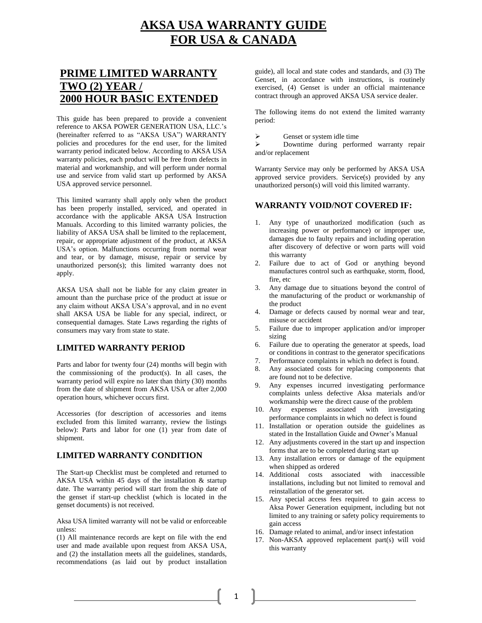# **AKSA USA WARRANTY GUIDE FOR USA & CANADA**

# **PRIME LIMITED WARRANTY TWO (2) YEAR / 2000 HOUR BASIC EXTENDED**

This guide has been prepared to provide a convenient reference to AKSA POWER GENERATION USA, LLC.'s (hereinafter referred to as "AKSA USA") WARRANTY policies and procedures for the end user, for the limited warranty period indicated below. According to AKSA USA warranty policies, each product will be free from defects in material and workmanship, and will perform under normal use and service from valid start up performed by AKSA USA approved service personnel.

This limited warranty shall apply only when the product has been properly installed, serviced, and operated in accordance with the applicable AKSA USA Instruction Manuals. According to this limited warranty policies, the liability of AKSA USA shall be limited to the replacement, repair, or appropriate adjustment of the product, at AKSA USA's option. Malfunctions occurring from normal wear and tear, or by damage, misuse, repair or service by unauthorized person(s); this limited warranty does not apply.

AKSA USA shall not be liable for any claim greater in amount than the purchase price of the product at issue or any claim without AKSA USA's approval, and in no event shall AKSA USA be liable for any special, indirect, or consequential damages. State Laws regarding the rights of consumers may vary from state to state.

# **LIMITED WARRANTY PERIOD**

Parts and labor for twenty four (24) months will begin with the commissioning of the product(s). In all cases, the warranty period will expire no later than thirty (30) months from the date of shipment from AKSA USA or after 2,000 operation hours, whichever occurs first.

Accessories (for description of accessories and items excluded from this limited warranty, review the listings below): Parts and labor for one (1) year from date of shipment.

# **LIMITED WARRANTY CONDITION**

The Start-up Checklist must be completed and returned to AKSA USA within 45 days of the installation & startup date. The warranty period will start from the ship date of the genset if start-up checklist (which is located in the genset documents) is not received.

Aksa USA limited warranty will not be valid or enforceable unless:

(1) All maintenance records are kept on file with the end user and made available upon request from AKSA USA, and (2) the installation meets all the guidelines, standards, recommendations (as laid out by product installation guide), all local and state codes and standards, and (3) The Genset, in accordance with instructions, is routinely exercised, (4) Genset is under an official maintenance contract through an approved AKSA USA service dealer.

The following items do not extend the limited warranty period:

 $\triangleright$  Genset or system idle time

 Downtime during performed warranty repair and/or replacement

Warranty Service may only be performed by AKSA USA approved service providers. Service(s) provided by any unauthorized person(s) will void this limited warranty.

# **WARRANTY VOID/NOT COVERED IF:**

- 1. Any type of unauthorized modification (such as increasing power or performance) or improper use, damages due to faulty repairs and including operation after discovery of defective or worn parts will void this warranty
- 2. Failure due to act of God or anything beyond manufactures control such as earthquake, storm, flood, fire, etc
- 3. Any damage due to situations beyond the control of the manufacturing of the product or workmanship of the product
- 4. Damage or defects caused by normal wear and tear, misuse or accident
- 5. Failure due to improper application and/or improper sizing
- 6. Failure due to operating the generator at speeds, load or conditions in contrast to the generator specifications
- Performance complaints in which no defect is found.
- 8. Any associated costs for replacing components that are found not to be defective.
- 9. Any expenses incurred investigating performance complaints unless defective Aksa materials and/or workmanship were the direct cause of the problem
- 10. Any expenses associated with investigating performance complaints in which no defect is found
- 11. Installation or operation outside the guidelines as stated in the Installation Guide and Owner's Manual
- 12. Any adjustments covered in the start up and inspection forms that are to be completed during start up
- 13. Any installation errors or damage of the equipment when shipped as ordered
- 14. Additional costs associated with inaccessible installations, including but not limited to removal and reinstallation of the generator set.
- 15. Any special access fees required to gain access to Aksa Power Generation equipment, including but not limited to any training or safety policy requirements to gain access
- 16. Damage related to animal, and/or insect infestation
- 17. Non-AKSA approved replacement part(s) will void this warranty